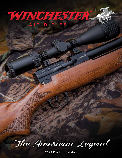# WINCHESTER AIR RIFLES

35 Caliber

Model 70.35

The American Legend

**CHESTER** 

2022 Product Catalog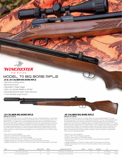

# Model 70 Big Bore RIFLE **.35 & .45 CALIBER BIG BORE RIFLE**

 $-4 - 70 - 3$ 

## •Side-lever cocking action

- •Beechwood stock
- •Adjustable 2 Stage Trigger
- •320cc Air Cylinder fillable to 230 Bar
- 
- •Shrouded barrel for basic noise reduction
- •11mm dovetail scope mount



#### **ITEM No. 611120154**

If it's got the Winchester name on it, it better deliver accuracy and dependability in a tough, handsome package. The Winchester Air Rifles big bore Model 70 lives up to this legendary name. The Model 70-35 is a .35 caliber with a six-shot magazine operated with a smooth slide lever action that requires little effort to operate. The traditional wood stock with grip and forearm checkering answers the call for traditional styling. The Model 70-35 delivers exceptional consistency across two magazines, generating up to 132 foot pounds of energy with 81.02 grain pellets or various cast ammo options. This big bore air rifle is the perfect fit for hunting medium-sized game such as deer and hogs, as well as varmints and predators out to 100 yards. Plus, it's a lot of fun to shoot at the range.

- Ships with two 6-shot magazines
- Produces up to 820 FPS with 81.02 grain pellets
- Produces 12 shots with 55 +/- FPS extreme spread
- Produces 120 Foot Pounds /162.7 Joules with 81.02 grain projectiles
- Capable of producing 1" (25.4mm) or better center-to-center groups at 50 meters
- Capable of producing 3" to 4" (76.2 to 101.6mm) or better center to center groups at 100 meters

# **.45 CALIBER BIG BORE RIFLE**

**ITEM No. 611120254**

If it's got the Winchester name on it, it better deliver accuracy and dependability in a tough, handsome package. The Winchester Air Rifles big bore Model 70 lives up to this legendary name. The traditional wood stock with grip and forearm checkering answers the call for traditional styling. For hunters that want to take lager game, we created the Winchester Model 70-45, which keeps all the same styling as the 70-35 and includes a 5-shot magazine, but pushes up to 200 foot pounds shooting 138 grain .457 cast pellets as well as other cast ammunition. The Model 70-45 can produce hole-in-hole groups at 50 yards making it exceptionally capable of taking large game in the field. Whether shooting simple round ball or custom cast ammo, the Winchester 70-45 is a force to be reckoned with.

- Ships with one-5 shot magazine
- Produces 700+ FPS with 140-grain projectiles
- Produces 5 shots with 55+/- FPS extreme spread
- Produces 150 to 180 Foot Pounds / 203.4 to 244.0 Joules depending on projectile (140 to 200 grain)
- Capable of producing 1" (25.4mm) or better center-to-center groups at 50 meters
- Capable of producing 4" to 6" (101.6 to 154.2mm) or better center-to-center groups at 100 meters

| Model | MAX. VELOCITY                       | OVERALL LENGTH | WFIGHT    | Packaging & Pack Size (W/D/H)         | Case Pack | Case Cu. Ft. | Case Weight | <b>UPC</b>    |          |
|-------|-------------------------------------|----------------|-----------|---------------------------------------|-----------|--------------|-------------|---------------|----------|
|       | 820 fps with 81.02 grain pellets    |                | 9.15 lbs. | Box Packaging, Case ; 38.38x9.25x3.88 |           |              | 12.65       | 93676 08365 0 | \$799.95 |
| 45    | 700+ fps with 140 grain projectiles |                | 9.15 lbs. | Box Packaging, Case ; 38.38x9.25x3.88 |           |              | 12.4        | 93676083667   | \$799.95 |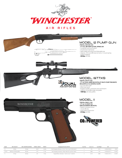

# AIR RIFLES



| Model  | MAX. VELOCITY               | MAX. SHOOTING DISTANCE | <b>OVERALL LENGTH</b> | WEIGHT    | Packaging & Pack Size (W/D/H)                                   | Case Pack | Case Cu. Ft. | Case Weight | <b>UPC</b>      |          |
|--------|-----------------------------|------------------------|-----------------------|-----------|-----------------------------------------------------------------|-----------|--------------|-------------|-----------------|----------|
|        | 350 fps                     | 195 vds.               | 34.25"                | 1.65 lbs. | Box Packaging, Individual; 35.35x1.75x5.5, Case 35.59x5.62x6.51 |           | .725         | 10.75       | 0 39256 81004 0 | \$39.99  |
| 1977XS | 1000 fps with alloy pellets | 305 vds.               | 37.6''                | 3.1 lbs.  | Box Packaging, Individual; 39.06x2.38x6.38, Case 40x5.19x6.81   |           | 0.886        | 5.44        | 0 39256 81977 7 | \$129.99 |
|        | 410 fps                     | 209 yds.               |                       | 1.9 lbs.  | Trapped Blister, Individual ; 11x8.2x2, Case 11.25x8.4x4        |           | 0.219        | 4.688       | 0 39256 21011 5 | \$129.99 |